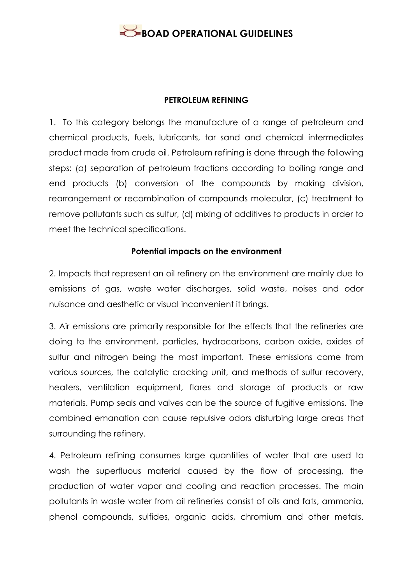### **PETROLEUM REFINING**

1. To this category belongs the manufacture of a range of petroleum and chemical products, fuels, lubricants, tar sand and chemical intermediates product made from crude oil. Petroleum refining is done through the following steps: (a) separation of petroleum fractions according to boiling range and end products (b) conversion of the compounds by making division, rearrangement or recombination of compounds molecular, (c) treatment to remove pollutants such as sulfur, (d) mixing of additives to products in order to meet the technical specifications.

### **Potential impacts on the environment**

2. Impacts that represent an oil refinery on the environment are mainly due to emissions of gas, waste water discharges, solid waste, noises and odor nuisance and aesthetic or visual inconvenient it brings.

3. Air emissions are primarily responsible for the effects that the refineries are doing to the environment, particles, hydrocarbons, carbon oxide, oxides of sulfur and nitrogen being the most important. These emissions come from various sources, the catalytic cracking unit, and methods of sulfur recovery, heaters, ventilation equipment, flares and storage of products or raw materials. Pump seals and valves can be the source of fugitive emissions. The combined emanation can cause repulsive odors disturbing large areas that surrounding the refinery.

4. Petroleum refining consumes large quantities of water that are used to wash the superfluous material caused by the flow of processing, the production of water vapor and cooling and reaction processes. The main pollutants in waste water from oil refineries consist of oils and fats, ammonia, phenol compounds, sulfides, organic acids, chromium and other metals.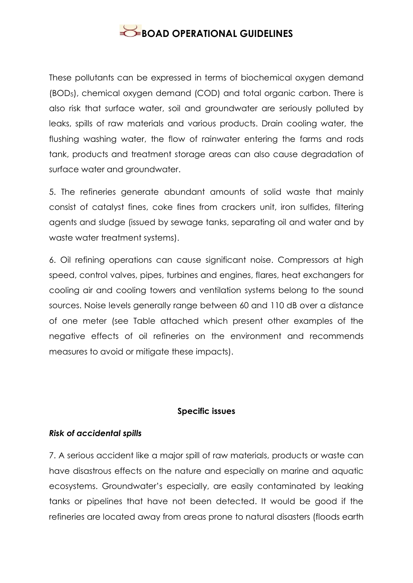These pollutants can be expressed in terms of biochemical oxygen demand (BOD5), chemical oxygen demand (COD) and total organic carbon. There is also risk that surface water, soil and groundwater are seriously polluted by leaks, spills of raw materials and various products. Drain cooling water, the flushing washing water, the flow of rainwater entering the farms and rods tank, products and treatment storage areas can also cause degradation of surface water and groundwater.

5. The refineries generate abundant amounts of solid waste that mainly consist of catalyst fines, coke fines from crackers unit, iron sulfides, filtering agents and sludge (issued by sewage tanks, separating oil and water and by waste water treatment systems).

6. Oil refining operations can cause significant noise. Compressors at high speed, control valves, pipes, turbines and engines, flares, heat exchangers for cooling air and cooling towers and ventilation systems belong to the sound sources. Noise levels generally range between 60 and 110 dB over a distance of one meter (see Table attached which present other examples of the negative effects of oil refineries on the environment and recommends measures to avoid or mitigate these impacts).

### **Specific issues**

#### *Risk of accidental spills*

7. A serious accident like a major spill of raw materials, products or waste can have disastrous effects on the nature and especially on marine and aquatic ecosystems. Groundwater's especially, are easily contaminated by leaking tanks or pipelines that have not been detected. It would be good if the refineries are located away from areas prone to natural disasters (floods earth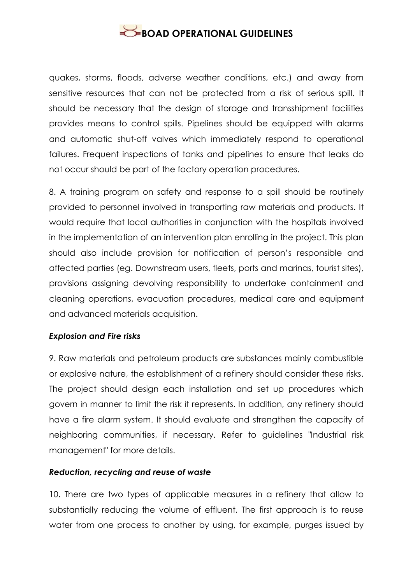quakes, storms, floods, adverse weather conditions, etc.) and away from sensitive resources that can not be protected from a risk of serious spill. It should be necessary that the design of storage and transshipment facilities provides means to control spills. Pipelines should be equipped with alarms and automatic shut-off valves which immediately respond to operational failures. Frequent inspections of tanks and pipelines to ensure that leaks do not occur should be part of the factory operation procedures.

8. A training program on safety and response to a spill should be routinely provided to personnel involved in transporting raw materials and products. It would require that local authorities in conjunction with the hospitals involved in the implementation of an intervention plan enrolling in the project. This plan should also include provision for notification of person's responsible and affected parties (eg. Downstream users, fleets, ports and marinas, tourist sites), provisions assigning devolving responsibility to undertake containment and cleaning operations, evacuation procedures, medical care and equipment and advanced materials acquisition.

### *Explosion and Fire risks*

9. Raw materials and petroleum products are substances mainly combustible or explosive nature, the establishment of a refinery should consider these risks. The project should design each installation and set up procedures which govern in manner to limit the risk it represents. In addition, any refinery should have a fire alarm system. It should evaluate and strengthen the capacity of neighboring communities, if necessary. Refer to guidelines "Industrial risk management" for more details.

### *Reduction, recycling and reuse of waste*

10. There are two types of applicable measures in a refinery that allow to substantially reducing the volume of effluent. The first approach is to reuse water from one process to another by using, for example, purges issued by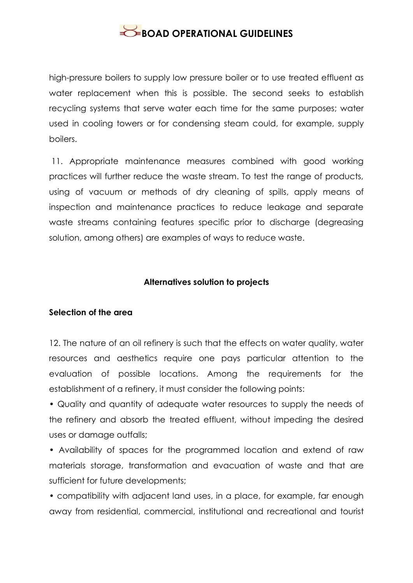high-pressure boilers to supply low pressure boiler or to use treated effluent as water replacement when this is possible. The second seeks to establish recycling systems that serve water each time for the same purposes; water used in cooling towers or for condensing steam could, for example, supply boilers.

11. Appropriate maintenance measures combined with good working practices will further reduce the waste stream. To test the range of products, using of vacuum or methods of dry cleaning of spills, apply means of inspection and maintenance practices to reduce leakage and separate waste streams containing features specific prior to discharge (degreasing solution, among others) are examples of ways to reduce waste.

### **Alternatives solution to projects**

#### **Selection of the area**

12. The nature of an oil refinery is such that the effects on water quality, water resources and aesthetics require one pays particular attention to the evaluation of possible locations. Among the requirements for the establishment of a refinery, it must consider the following points:

• Quality and quantity of adequate water resources to supply the needs of the refinery and absorb the treated effluent, without impeding the desired uses or damage outfalls;

• Availability of spaces for the programmed location and extend of raw materials storage, transformation and evacuation of waste and that are sufficient for future developments;

• compatibility with adjacent land uses, in a place, for example, far enough away from residential, commercial, institutional and recreational and tourist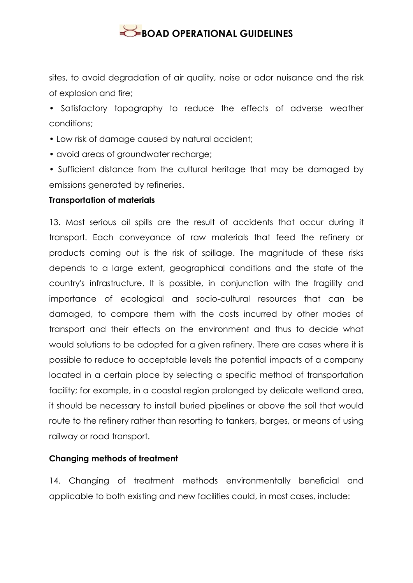sites, to avoid degradation of air quality, noise or odor nuisance and the risk of explosion and fire;

• Satisfactory topography to reduce the effects of adverse weather conditions;

- Low risk of damage caused by natural accident;
- avoid areas of groundwater recharge;
- Sufficient distance from the cultural heritage that may be damaged by emissions generated by refineries.

#### **Transportation of materials**

13. Most serious oil spills are the result of accidents that occur during it transport. Each conveyance of raw materials that feed the refinery or products coming out is the risk of spillage. The magnitude of these risks depends to a large extent, geographical conditions and the state of the country's infrastructure. It is possible, in conjunction with the fragility and importance of ecological and socio-cultural resources that can be damaged, to compare them with the costs incurred by other modes of transport and their effects on the environment and thus to decide what would solutions to be adopted for a given refinery. There are cases where it is possible to reduce to acceptable levels the potential impacts of a company located in a certain place by selecting a specific method of transportation facility; for example, in a coastal region prolonged by delicate wetland area, it should be necessary to install buried pipelines or above the soil that would route to the refinery rather than resorting to tankers, barges, or means of using railway or road transport.

### **Changing methods of treatment**

14. Changing of treatment methods environmentally beneficial and applicable to both existing and new facilities could, in most cases, include: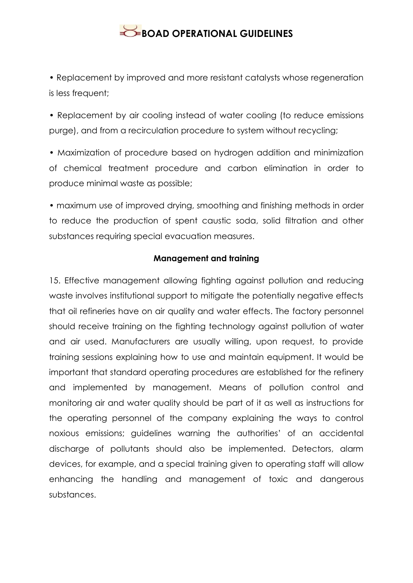• Replacement by improved and more resistant catalysts whose regeneration is less frequent;

• Replacement by air cooling instead of water cooling (to reduce emissions purge), and from a recirculation procedure to system without recycling;

• Maximization of procedure based on hydrogen addition and minimization of chemical treatment procedure and carbon elimination in order to produce minimal waste as possible;

• maximum use of improved drying, smoothing and finishing methods in order to reduce the production of spent caustic soda, solid filtration and other substances requiring special evacuation measures.

### **Management and training**

15. Effective management allowing fighting against pollution and reducing waste involves institutional support to mitigate the potentially negative effects that oil refineries have on air quality and water effects. The factory personnel should receive training on the fighting technology against pollution of water and air used. Manufacturers are usually willing, upon request, to provide training sessions explaining how to use and maintain equipment. It would be important that standard operating procedures are established for the refinery and implemented by management. Means of pollution control and monitoring air and water quality should be part of it as well as instructions for the operating personnel of the company explaining the ways to control noxious emissions; guidelines warning the authorities' of an accidental discharge of pollutants should also be implemented. Detectors, alarm devices, for example, and a special training given to operating staff will allow enhancing the handling and management of toxic and dangerous substances.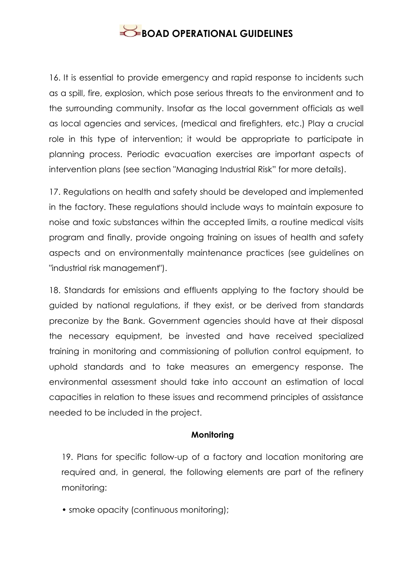16. It is essential to provide emergency and rapid response to incidents such as a spill, fire, explosion, which pose serious threats to the environment and to the surrounding community. Insofar as the local government officials as well as local agencies and services, (medical and firefighters, etc.) Play a crucial role in this type of intervention; it would be appropriate to participate in planning process. Periodic evacuation exercises are important aspects of intervention plans (see section "Managing Industrial Risk" for more details).

17. Regulations on health and safety should be developed and implemented in the factory. These regulations should include ways to maintain exposure to noise and toxic substances within the accepted limits, a routine medical visits program and finally, provide ongoing training on issues of health and safety aspects and on environmentally maintenance practices (see guidelines on "industrial risk management").

18. Standards for emissions and effluents applying to the factory should be guided by national regulations, if they exist, or be derived from standards preconize by the Bank. Government agencies should have at their disposal the necessary equipment, be invested and have received specialized training in monitoring and commissioning of pollution control equipment, to uphold standards and to take measures an emergency response. The environmental assessment should take into account an estimation of local capacities in relation to these issues and recommend principles of assistance needed to be included in the project.

### **Monitoring**

19. Plans for specific follow-up of a factory and location monitoring are required and, in general, the following elements are part of the refinery monitoring:

• smoke opacity (continuous monitoring);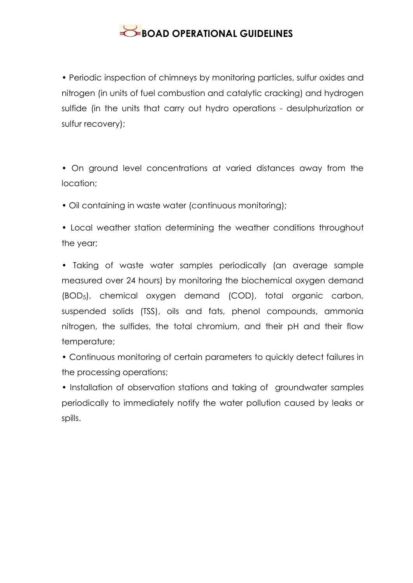• Periodic inspection of chimneys by monitoring particles, sulfur oxides and nitrogen (in units of fuel combustion and catalytic cracking) and hydrogen sulfide (in the units that carry out hydro operations - desulphurization or sulfur recovery);

• On ground level concentrations at varied distances away from the location;

• Oil containing in waste water (continuous monitoring);

• Local weather station determining the weather conditions throughout the year;

• Taking of waste water samples periodically (an average sample measured over 24 hours) by monitoring the biochemical oxygen demand (BOD5), chemical oxygen demand (COD), total organic carbon, suspended solids (TSS), oils and fats, phenol compounds, ammonia nitrogen, the sulfides, the total chromium, and their pH and their flow temperature;

• Continuous monitoring of certain parameters to quickly detect failures in the processing operations;

• Installation of observation stations and taking of groundwater samples periodically to immediately notify the water pollution caused by leaks or spills.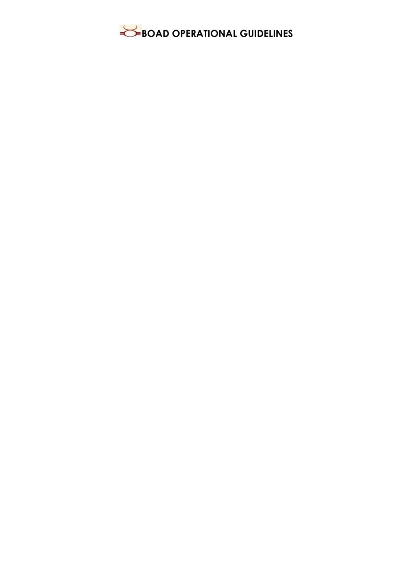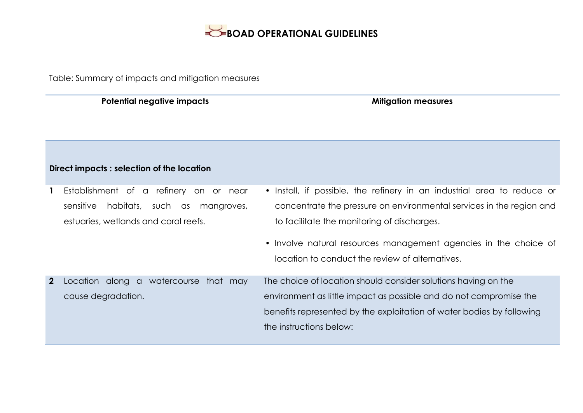

Table: Summary of impacts and mitigation measures

| Potential negative impacts                 | <b>Mitigation measures</b>                                              |
|--------------------------------------------|-------------------------------------------------------------------------|
| Direct impacts : selection of the location |                                                                         |
| Establishment of a refinery on or near     | • Install, if possible, the refinery in an industrial area to reduce or |
| sensitive                                  | concentrate the pressure on environmental services in the region and    |
| habitats, such as                          | to facilitate the monitoring of discharges.                             |
| mangroves,                                 | • Involve natural resources management agencies in the choice of        |
| estuaries, wetlands and coral reefs.       | location to conduct the review of alternatives.                         |
| Location along a watercourse               | The choice of location should consider solutions having on the          |
| that may                                   | environment as little impact as possible and do not compromise the      |
| $\mathbf{2}$                               | benefits represented by the exploitation of water bodies by following   |
| cause degradation.                         | the instructions below:                                                 |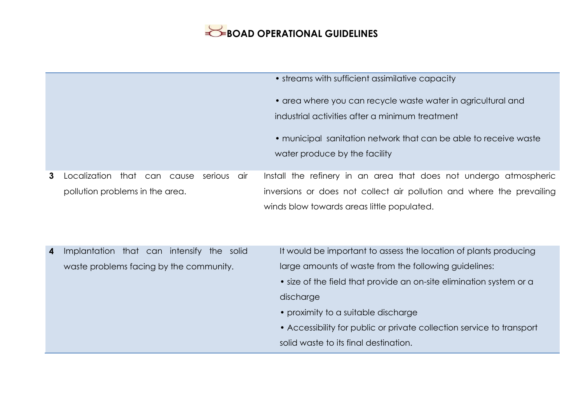|   |                                                                                      | • streams with sufficient assimilative capacity                                                                                                                                                                                                                                                                               |
|---|--------------------------------------------------------------------------------------|-------------------------------------------------------------------------------------------------------------------------------------------------------------------------------------------------------------------------------------------------------------------------------------------------------------------------------|
|   |                                                                                      | • area where you can recycle waste water in agricultural and                                                                                                                                                                                                                                                                  |
|   |                                                                                      | industrial activities after a minimum treatment                                                                                                                                                                                                                                                                               |
|   |                                                                                      | • municipal sanitation network that can be able to receive waste                                                                                                                                                                                                                                                              |
|   |                                                                                      | water produce by the facility                                                                                                                                                                                                                                                                                                 |
| 3 | Localization that can cause<br>serious air<br>pollution problems in the area.        | Install the refinery in an area that does not undergo atmospheric<br>inversions or does not collect air pollution and where the prevailing<br>winds blow towards areas little populated.                                                                                                                                      |
| 4 | Implantation that can intensify the solid<br>waste problems facing by the community. | It would be important to assess the location of plants producing<br>large amounts of waste from the following guidelines:<br>• size of the field that provide an on-site elimination system or a<br>discharge<br>• proximity to a suitable discharge<br>• Accessibility for public or private collection service to transport |
|   |                                                                                      | solid waste to its final destination.                                                                                                                                                                                                                                                                                         |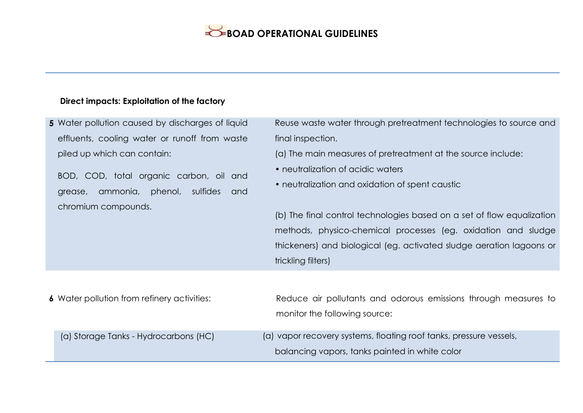### **Direct impacts: Exploitation of the factory**

| 5 Water pollution caused by discharges of liquid | Reuse waste water through pretreatment technologies to source and                                                                       |
|--------------------------------------------------|-----------------------------------------------------------------------------------------------------------------------------------------|
| effluents, cooling water or runoff from waste    | final inspection.                                                                                                                       |
| piled up which can contain:                      | (a) The main measures of pretreatment at the source include:                                                                            |
| BOD, COD, total organic carbon, oil and          | • neutralization of acidic waters                                                                                                       |
| ammonia, phenol, sulfides<br>and<br>grease,      | • neutralization and oxidation of spent caustic                                                                                         |
| chromium compounds.                              | (b) The final control technologies based on a set of flow equalization<br>methods, physico-chemical processes (eg. oxidation and sludge |
|                                                  | thickeners) and biological (eg. activated sludge aeration lagoons or                                                                    |
|                                                  | trickling filters)                                                                                                                      |
|                                                  |                                                                                                                                         |
| 6 Water pollution from refinery activities:      | Reduce air pollutants and odorous emissions through measures to<br>monitor the following source:                                        |
| (a) Storage Tanks - Hydrocarbons (HC)            | (a) vapor recovery systems, floating roof tanks, pressure vessels,                                                                      |
|                                                  | balancing vapors, tanks painted in white color                                                                                          |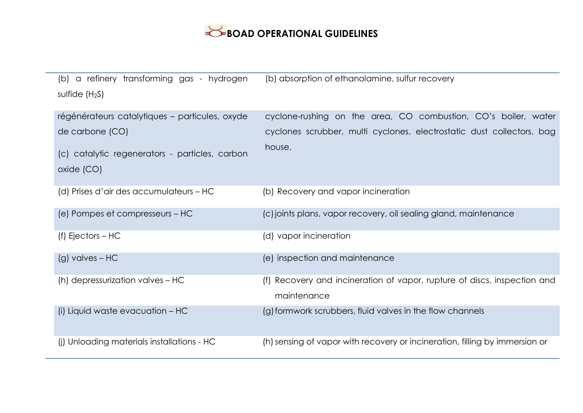| (b) a refinery transforming gas - hydrogen<br>sulfide $(H_2S)$ | (b) absorption of ethanolamine, sulfur recovery                                         |
|----------------------------------------------------------------|-----------------------------------------------------------------------------------------|
| régénérateurs catalytiques - particules, oxyde                 | cyclone-rushing on the area, CO combustion, CO's boiler, water                          |
| de carbone (CO)                                                | cyclones scrubber, multi cyclones, electrostatic dust collectors, bag                   |
| (c) catalytic regenerators - particles, carbon<br>oxide (CO)   | house,                                                                                  |
| (d) Prises d'air des accumulateurs – HC                        | (b) Recovery and vapor incineration                                                     |
| (e) Pompes et compresseurs – HC                                | (c) joints plans, vapor recovery, oil sealing gland, maintenance                        |
| $(f)$ Ejectors – HC                                            | (d) vapor incineration                                                                  |
| $(g)$ valves $-$ HC                                            | (e) inspection and maintenance                                                          |
| (h) depressurization valves - HC                               | (f) Recovery and incineration of vapor, rupture of discs, inspection and<br>maintenance |
| (i) Liquid waste evacuation - HC                               | (g) formwork scrubbers, fluid valves in the flow channels                               |
| (i) Unloading materials installations - HC                     | (h) sensing of vapor with recovery or incineration, filling by immersion or             |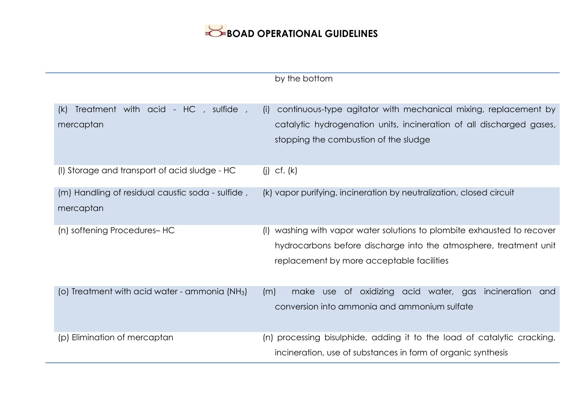|                                                               | by the bottom                                                                                                                                                                                |
|---------------------------------------------------------------|----------------------------------------------------------------------------------------------------------------------------------------------------------------------------------------------|
| Treatment with acid - HC, sulfide,<br>(k)<br>mercaptan        | continuous-type agitator with mechanical mixing, replacement by<br>(i)<br>catalytic hydrogenation units, incineration of all discharged gases,<br>stopping the combustion of the sludge      |
| (I) Storage and transport of acid sludge - HC                 | $(j)$ cf. $(k)$                                                                                                                                                                              |
| (m) Handling of residual caustic soda - sulfide,<br>mercaptan | (k) vapor purifying, incineration by neutralization, closed circuit                                                                                                                          |
| (n) softening Procedures– HC                                  | washing with vapor water solutions to plombite exhausted to recover<br>(1)<br>hydrocarbons before discharge into the atmosphere, treatment unit<br>replacement by more acceptable facilities |
| (o) Treatment with acid water - ammonia (NH <sub>3</sub> )    | use of oxidizing acid water, gas incineration<br>(m)<br>make<br>and<br>conversion into ammonia and ammonium sulfate                                                                          |
| (p) Elimination of mercaptan                                  | (n) processing bisulphide, adding it to the load of catalytic cracking,<br>incineration, use of substances in form of organic synthesis                                                      |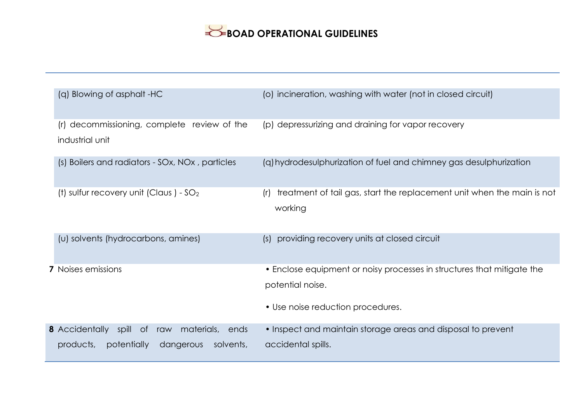| (q) Blowing of asphalt -HC                                                                                     | (o) incineration, washing with water (not in closed circuit)                                                                    |
|----------------------------------------------------------------------------------------------------------------|---------------------------------------------------------------------------------------------------------------------------------|
| (r) decommissioning, complete review of the<br>industrial unit                                                 | (p) depressurizing and draining for vapor recovery                                                                              |
| (s) Boilers and radiators - SOx, NOx, particles                                                                | (q) hydrodesulphurization of fuel and chimney gas desulphurization                                                              |
| (t) sulfur recovery unit (Claus) - $SO2$                                                                       | treatment of tail gas, start the replacement unit when the main is not<br>(r)<br>working                                        |
| (u) solvents (hydrocarbons, amines)                                                                            | providing recovery units at closed circuit<br>(s)                                                                               |
| <b>7</b> Noises emissions                                                                                      | • Enclose equipment or noisy processes in structures that mitigate the<br>potential noise.<br>• Use noise reduction procedures. |
|                                                                                                                |                                                                                                                                 |
| <b>8</b> Accidentally<br>of raw materials, ends<br>spill<br>potentially<br>dangerous<br>solvents,<br>products, | • Inspect and maintain storage areas and disposal to prevent<br>accidental spills.                                              |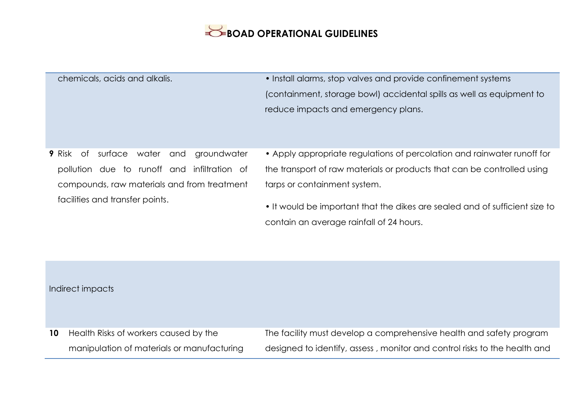| chemicals, acids and alkalis.                                                                                                                                                            | • Install alarms, stop valves and provide confinement systems<br>(containment, storage bowl) accidental spills as well as equipment to<br>reduce impacts and emergency plans.                                                                                                                                 |
|------------------------------------------------------------------------------------------------------------------------------------------------------------------------------------------|---------------------------------------------------------------------------------------------------------------------------------------------------------------------------------------------------------------------------------------------------------------------------------------------------------------|
| surface water and<br>0f<br>groundwater<br><b>9</b> Risk<br>pollution due to runoff and infiltration of<br>compounds, raw materials and from treatment<br>facilities and transfer points. | • Apply appropriate regulations of percolation and rainwater runoff for<br>the transport of raw materials or products that can be controlled using<br>tarps or containment system.<br>• It would be important that the dikes are sealed and of sufficient size to<br>contain an average rainfall of 24 hours. |
| Indirect impacts                                                                                                                                                                         |                                                                                                                                                                                                                                                                                                               |
| Health Risks of workers caused by the<br>10<br>manipulation of materials or manufacturing                                                                                                | The facility must develop a comprehensive health and safety program<br>designed to identify, assess, monitor and control risks to the health and                                                                                                                                                              |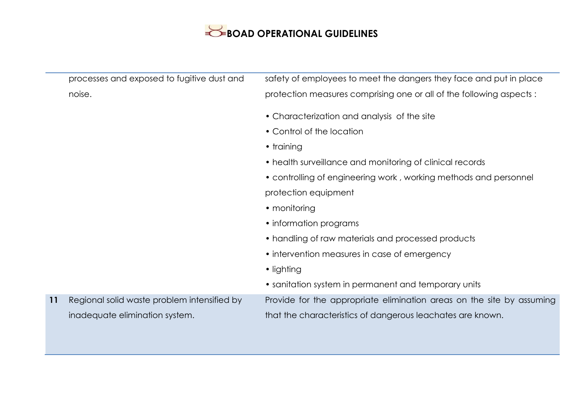|    | processes and exposed to fugitive dust and  | safety of employees to meet the dangers they face and put in place    |
|----|---------------------------------------------|-----------------------------------------------------------------------|
|    | noise.                                      | protection measures comprising one or all of the following aspects:   |
|    |                                             | • Characterization and analysis of the site                           |
|    |                                             | • Control of the location                                             |
|    |                                             | • training                                                            |
|    |                                             | • health surveillance and monitoring of clinical records              |
|    |                                             | • controlling of engineering work, working methods and personnel      |
|    |                                             | protection equipment                                                  |
|    |                                             | • monitoring                                                          |
|    |                                             | • information programs                                                |
|    |                                             | • handling of raw materials and processed products                    |
|    |                                             | • intervention measures in case of emergency                          |
|    |                                             | • lighting                                                            |
|    |                                             | • sanitation system in permanent and temporary units                  |
| 11 | Regional solid waste problem intensified by | Provide for the appropriate elimination areas on the site by assuming |
|    | inadequate elimination system.              | that the characteristics of dangerous leachates are known.            |
|    |                                             |                                                                       |
|    |                                             |                                                                       |